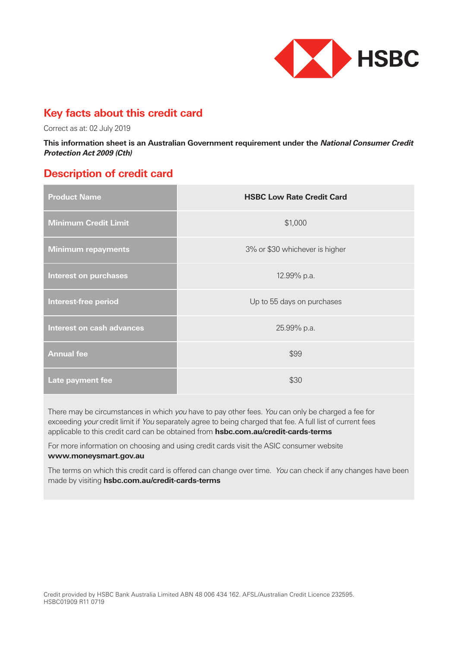

## **Key facts about this credit card**

Correct as at: 02 July 2019

**This information sheet is an Australian Government requirement under the** *National Consumer Credit Protection Act 2009 (Cth)*

## **Description of credit card**

| <b>Product Name</b>              | <b>HSBC Low Rate Credit Card</b> |
|----------------------------------|----------------------------------|
| <b>Minimum Credit Limit</b>      | \$1,000                          |
| <b>Minimum repayments</b>        | 3% or \$30 whichever is higher   |
| <b>Interest on purchases</b>     | 12.99% p.a.                      |
| Interest-free period             | Up to 55 days on purchases       |
| <b>Interest on cash advances</b> | 25.99% p.a.                      |
| <b>Annual fee</b>                | \$99                             |
| Late payment fee                 | \$30                             |

There may be circumstances in which *you* have to pay other fees. *You* can only be charged a fee for exceeding *your* credit limit if *You* separately agree to being charged that fee. A full list of current fees applicable to this credit card can be obtained from **hsbc.com.au/credit-cards-terms**

For more information on choosing and using credit cards visit the ASIC consumer website **www.moneysmart.gov.au**

The terms on which this credit card is offered can change over time. *You* can check if any changes have been made by visiting **hsbc.com.au/credit-cards-terms**